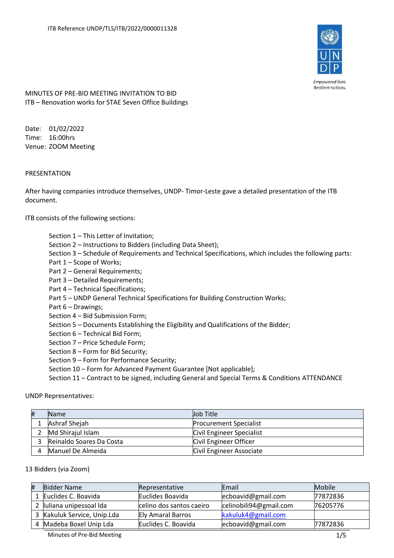

Empowered lives. Resilient nations.

MINUTES OF PRE-BID MEETING INVITATION TO BID ITB – Renovation works for STAE Seven Office Buildings

Date: 01/02/2022 Time: 16:00hrs Venue: ZOOM Meeting

# PRESENTATION

After having companies introduce themselves, UNDP- Timor-Leste gave a detailed presentation of the ITB document.

ITB consists of the following sections:

- Section 1 This Letter of Invitation;
- Section 2 Instructions to Bidders (including Data Sheet);
- Section 3 Schedule of Requirements and Technical Specifications, which includes the following parts:
- Part 1 Scope of Works;
- Part 2 General Requirements;
- Part 3 Detailed Requirements;
- Part 4 Technical Specifications;
- Part 5 UNDP General Technical Specifications for Building Construction Works;
- Part 6 Drawings;
- Section 4 Bid Submission Form;
- Section 5 Documents Establishing the Eligibility and Qualifications of the Bidder;
- Section 6 Technical Bid Form;
- Section 7 Price Schedule Form;
- Section 8 Form for Bid Security;
- Section 9 Form for Performance Security;
- Section 10 Form for Advanced Payment Guarantee [Not applicable];

Section 11 – Contract to be signed, including General and Special Terms & Conditions ATTENDANCE

UNDP Representatives:

| # | <b>Name</b>              | Job Title                     |
|---|--------------------------|-------------------------------|
|   | Ashraf Shejah            | <b>Procurement Specialist</b> |
|   | Md Shirajul Islam        | Civil Engineer Specialist     |
|   | Reinaldo Soares Da Costa | Civil Engineer Officer        |
|   | Manuel De Almeida        | Civil Engineer Associate      |

#### 13 Bidders (via Zoom)

| # | Bidder Name               | Representative           | Email                  | Mobile   |
|---|---------------------------|--------------------------|------------------------|----------|
|   | Euclides C. Boavida       | Euclides Boavida         | ecboavid@gmail.com     | 77872836 |
|   | luliana unipessoal Ida    | celino dos santos caeiro | celinobili94@gmail.com | 76205776 |
|   | Kakuluk Service, Unip.Lda | <b>Ely Amaral Barros</b> | kakuluk4@gmail.com     |          |
|   | Madeba Boxel Unip Lda     | Euclides C. Boavida      | ecboavid@gmail.com     | 77872836 |

Minutes of Pre-Bid Meeting 2008 1/5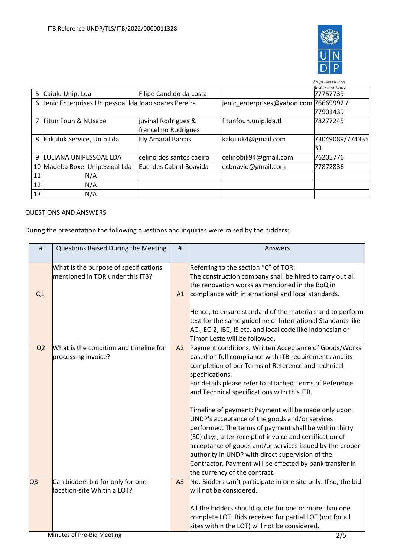

|    |                                                      |                          |                                         | Empowered lives.<br><b>Resilient nations</b> |
|----|------------------------------------------------------|--------------------------|-----------------------------------------|----------------------------------------------|
| 5  | Caiulu Unip. Lda                                     | Filipe Candido da costa  |                                         | 77757739                                     |
| 6  | Jenic Enterprises Unipessoal Ida Joao soares Pereira |                          | jenic_enterprises@yahoo.com  76669992 / |                                              |
|    |                                                      |                          |                                         | 77901439                                     |
| 7  | Fitun Foun & NUsabe                                  | juvinal Rodrigues &      | fitunfoun.unip.lda.tl                   | 78277245                                     |
|    |                                                      | francelino Rodrigues     |                                         |                                              |
| 8  | Kakuluk Service, Unip.Lda                            | <b>Ely Amaral Barros</b> | kakuluk4@gmail.com                      | 73049089/774335                              |
|    |                                                      |                          |                                         | 33                                           |
| 9  | LULIANA UNIPESSOAL LDA                               | celino dos santos caeiro | celinobili94@gmail.com                  | 76205776                                     |
|    | 10 Madeba Boxel Unipessoal Lda                       | Euclides Cabral Boavida  | ecboavid@gmail.com                      | 77872836                                     |
| 11 | N/A                                                  |                          |                                         |                                              |
| 12 | N/A                                                  |                          |                                         |                                              |
| 13 | N/A                                                  |                          |                                         |                                              |

### QUESTIONS AND ANSWERS

During the presentation the following questions and inquiries were raised by the bidders:

| #              | Questions Raised During the Meeting                                                | #  | Answers                                                                                                                                                                                                                                                                                                                                                                                                                                                                                                                                                                                                                                                                                                                                        |  |
|----------------|------------------------------------------------------------------------------------|----|------------------------------------------------------------------------------------------------------------------------------------------------------------------------------------------------------------------------------------------------------------------------------------------------------------------------------------------------------------------------------------------------------------------------------------------------------------------------------------------------------------------------------------------------------------------------------------------------------------------------------------------------------------------------------------------------------------------------------------------------|--|
| Q1             | What is the purpose of specifications<br>mentioned in TOR under this ITB?          | A1 | Referring to the section "C" of TOR:<br>The construction company shall be hired to carry out all<br>the renovation works as mentioned in the BoQ in<br>compliance with international and local standards.<br>Hence, to ensure standard of the materials and to perform                                                                                                                                                                                                                                                                                                                                                                                                                                                                         |  |
|                |                                                                                    |    | test for the same guideline of International Standards like<br>ACI, EC-2, IBC, IS etc. and local code like Indonesian or<br>Timor-Leste will be followed.                                                                                                                                                                                                                                                                                                                                                                                                                                                                                                                                                                                      |  |
| Q <sub>2</sub> | What is the condition and timeline for<br>processing invoice?                      | A2 | Payment conditions: Written Acceptance of Goods/Works<br>based on full compliance with ITB requirements and its<br>completion of per Terms of Reference and technical<br>specifications.<br>For details please refer to attached Terms of Reference<br>and Technical specifications with this ITB.<br>Timeline of payment: Payment will be made only upon<br>UNDP's acceptance of the goods and/or services<br>performed. The terms of payment shall be within thirty<br>(30) days, after receipt of invoice and certification of<br>acceptance of goods and/or services issued by the proper<br>authority in UNDP with direct supervision of the<br>Contractor. Payment will be effected by bank transfer in<br>the currency of the contract. |  |
| Q <sub>3</sub> | Can bidders bid for only for one<br>location-site Whitin a LOT?                    | A3 | No. Bidders can't participate in one site only. If so, the bid<br>will not be considered.<br>All the bidders should quote for one or more than one<br>complete LOT. Bids received for partial LOT (not for all                                                                                                                                                                                                                                                                                                                                                                                                                                                                                                                                 |  |
|                | sites within the LOT) will not be considered.<br>Minutes of Pre-Bid Meeting<br>2/5 |    |                                                                                                                                                                                                                                                                                                                                                                                                                                                                                                                                                                                                                                                                                                                                                |  |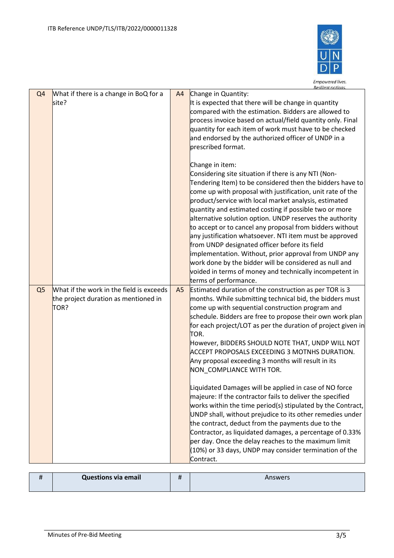

|                |                                                                                          |    | Resilient nations                                                                                                                                                                                                                                                                                                                                                                                                                                                                                                                                                                                                                                                                                                                                                |
|----------------|------------------------------------------------------------------------------------------|----|------------------------------------------------------------------------------------------------------------------------------------------------------------------------------------------------------------------------------------------------------------------------------------------------------------------------------------------------------------------------------------------------------------------------------------------------------------------------------------------------------------------------------------------------------------------------------------------------------------------------------------------------------------------------------------------------------------------------------------------------------------------|
| Q <sub>4</sub> | What if there is a change in BoQ for a<br>site?                                          | A4 | Change in Quantity:<br>It is expected that there will be change in quantity<br>compared with the estimation. Bidders are allowed to<br>process invoice based on actual/field quantity only. Final<br>quantity for each item of work must have to be checked<br>and endorsed by the authorized officer of UNDP in a<br>prescribed format.                                                                                                                                                                                                                                                                                                                                                                                                                         |
|                |                                                                                          |    | Change in item:<br>Considering site situation if there is any NTI (Non-<br>Tendering Item) to be considered then the bidders have to<br>come up with proposal with justification, unit rate of the<br>product/service with local market analysis, estimated<br>quantity and estimated costing if possible two or more<br>alternative solution option. UNDP reserves the authority<br>to accept or to cancel any proposal from bidders without<br>any justification whatsoever. NTI item must be approved<br>from UNDP designated officer before its field<br>implementation. Without, prior approval from UNDP any<br>work done by the bidder will be considered as null and<br>voided in terms of money and technically incompetent in<br>terms of performance. |
| Q <sub>5</sub> | What if the work in the field is exceeds<br>the project duration as mentioned in<br>TOR? | A5 | Estimated duration of the construction as per TOR is 3<br>months. While submitting technical bid, the bidders must<br>come up with sequential construction program and<br>schedule. Bidders are free to propose their own work plan<br>for each project/LOT as per the duration of project given in<br>TOR.<br>However, BIDDERS SHOULD NOTE THAT, UNDP WILL NOT<br>ACCEPT PROPOSALS EXCEEDING 3 MOTNHS DURATION.<br>Any proposal exceeding 3 months will result in its<br>NON_COMPLIANCE WITH TOR.                                                                                                                                                                                                                                                               |
|                |                                                                                          |    | Liquidated Damages will be applied in case of NO force<br>majeure: If the contractor fails to deliver the specified<br>works within the time period(s) stipulated by the Contract,<br>UNDP shall, without prejudice to its other remedies under<br>the contract, deduct from the payments due to the<br>Contractor, as liquidated damages, a percentage of 0.33%<br>per day. Once the delay reaches to the maximum limit<br>(10%) or 33 days, UNDP may consider termination of the<br>Contract.                                                                                                                                                                                                                                                                  |

|  | <b>Questions via email</b> |  | Answers |
|--|----------------------------|--|---------|
|--|----------------------------|--|---------|

 $\overline{1}$